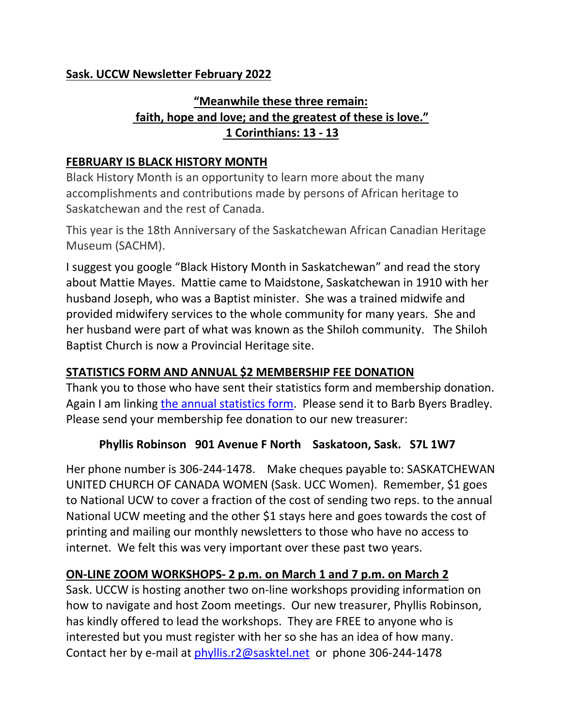## **Sask. UCCW Newsletter February 2022**

# **"Meanwhile these three remain: faith, hope and love; and the greatest of these is love." 1 Corinthians: 13 - 13**

#### **FEBRUARY IS BLACK HISTORY MONTH**

Black History Month is an opportunity to learn more about the many accomplishments and contributions made by persons of African heritage to Saskatchewan and the rest of Canada.

This year is the 18th Anniversary of the Saskatchewan African Canadian Heritage Museum (SACHM).

I suggest you google "Black History Month in Saskatchewan" and read the story about Mattie Mayes. Mattie came to Maidstone, Saskatchewan in 1910 with her husband Joseph, who was a Baptist minister. She was a trained midwife and provided midwifery services to the whole community for many years. She and her husband were part of what was known as the Shiloh community. The Shiloh Baptist Church is now a Provincial Heritage site.

## **STATISTICS FORM AND ANNUAL \$2 MEMBERSHIP FEE DONATION**

Thank you to those who have sent their statistics form and membership donation. Again I am linking [the annual statistics form.](https://livingskiesrc.ca/wp-content/uploads/2022/01/2021-2022-Statistics-report-blank.docx) Please send it to Barb Byers Bradley. Please send your membership fee donation to our new treasurer:

#### **Phyllis Robinson 901 Avenue F North Saskatoon, Sask. S7L 1W7**

Her phone number is 306-244-1478. Make cheques payable to: SASKATCHEWAN UNITED CHURCH OF CANADA WOMEN (Sask. UCC Women). Remember, \$1 goes to National UCW to cover a fraction of the cost of sending two reps. to the annual National UCW meeting and the other \$1 stays here and goes towards the cost of printing and mailing our monthly newsletters to those who have no access to internet. We felt this was very important over these past two years.

#### **ON-LINE ZOOM WORKSHOPS- 2 p.m. on March 1 and 7 p.m. on March 2**

Sask. UCCW is hosting another two on-line workshops providing information on how to navigate and host Zoom meetings. Our new treasurer, Phyllis Robinson, has kindly offered to lead the workshops. They are FREE to anyone who is interested but you must register with her so she has an idea of how many. Contact her by e-mail at [phyllis.r2@sasktel.net](mailto:phyllis.r2@sasktel.net) or phone 306-244-1478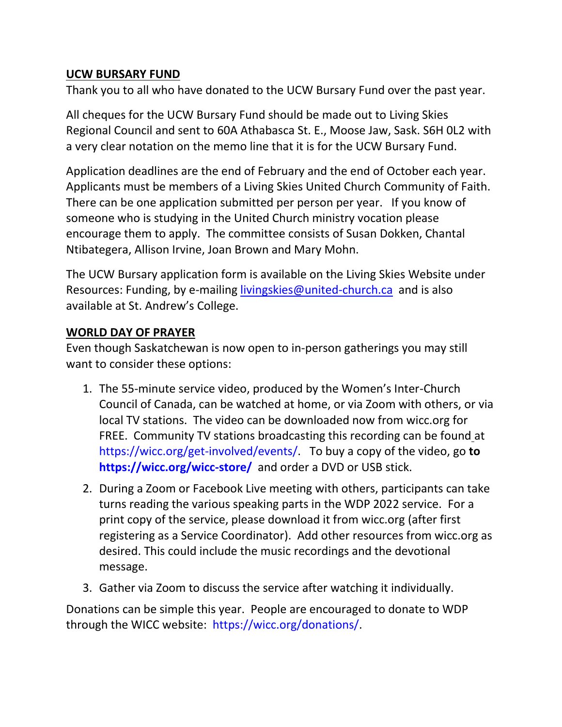## **UCW BURSARY FUND**

Thank you to all who have donated to the UCW Bursary Fund over the past year.

All cheques for the UCW Bursary Fund should be made out to Living Skies Regional Council and sent to 60A Athabasca St. E., Moose Jaw, Sask. S6H 0L2 with a very clear notation on the memo line that it is for the UCW Bursary Fund.

Application deadlines are the end of February and the end of October each year. Applicants must be members of a Living Skies United Church Community of Faith. There can be one application submitted per person per year. If you know of someone who is studying in the United Church ministry vocation please encourage them to apply. The committee consists of Susan Dokken, Chantal Ntibategera, Allison Irvine, Joan Brown and Mary Mohn.

The UCW Bursary application form is available on the Living Skies Website under Resources: Funding, by e-mailing [livingskies@united-church.ca](mailto:livingskies@united-church.ca) and is also available at St. Andrew's College.

### **WORLD DAY OF PRAYER**

Even though Saskatchewan is now open to in-person gatherings you may still want to consider these options:

- 1. The 55-minute service video, produced by the Women's Inter-Church Council of Canada, can be watched at home, or via Zoom with others, or via local TV stations. The video can be downloaded now from wicc.org for FREE. Community TV stations broadcasting this recording can be found at [https://wicc.org/get-involved/events/.](https://wicc.org/get-involved/events/) To buy a copy of the video, go **to <https://wicc.org/wicc-store/>**and order a DVD or USB stick.
- 2. During a Zoom or Facebook Live meeting with others, participants can take turns reading the various speaking parts in the WDP 2022 service. For a print copy of the service, please download it from wicc.org (after first registering as a Service Coordinator). Add other resources from wicc.org as desired. This could include the music recordings and the devotional message.
- 3. Gather via Zoom to discuss the service after watching it individually.

Donations can be simple this year. People are encouraged to donate to WDP through the WICC website: [https://wicc.org/donations/.](https://wicc.org/donations/)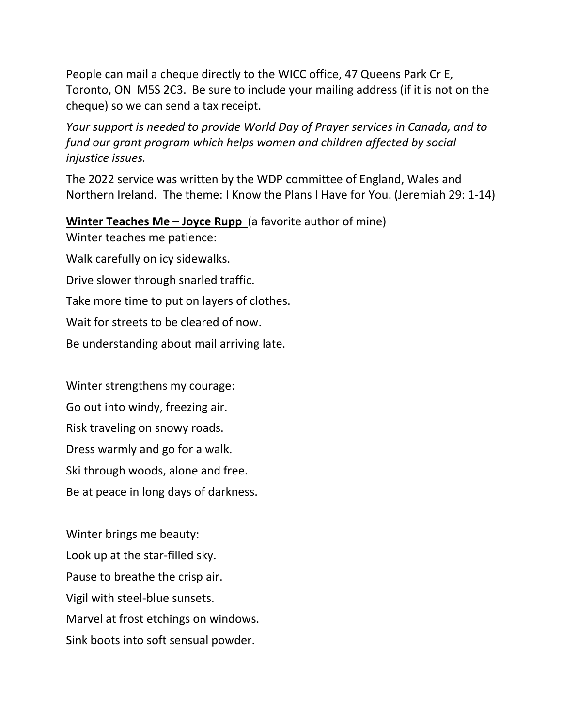People can mail a cheque directly to the WICC office, 47 Queens Park Cr E, Toronto, ON M5S 2C3. Be sure to include your mailing address (if it is not on the cheque) so we can send a tax receipt.

*Your support is needed to provide World Day of Prayer services in Canada, and to fund our grant program which helps women and children affected by social injustice issues.*

The 2022 service was written by the WDP committee of England, Wales and Northern Ireland. The theme: I Know the Plans I Have for You. (Jeremiah 29: 1-14)

#### **Winter Teaches Me - Joyce Rupp** (a favorite author of mine)

Winter teaches me patience:

Walk carefully on icy sidewalks.

Drive slower through snarled traffic.

Take more time to put on layers of clothes.

Wait for streets to be cleared of now.

Be understanding about mail arriving late.

Winter strengthens my courage: Go out into windy, freezing air. Risk traveling on snowy roads. Dress warmly and go for a walk. Ski through woods, alone and free. Be at peace in long days of darkness.

Winter brings me beauty: Look up at the star-filled sky. Pause to breathe the crisp air. Vigil with steel-blue sunsets. Marvel at frost etchings on windows. Sink boots into soft sensual powder.